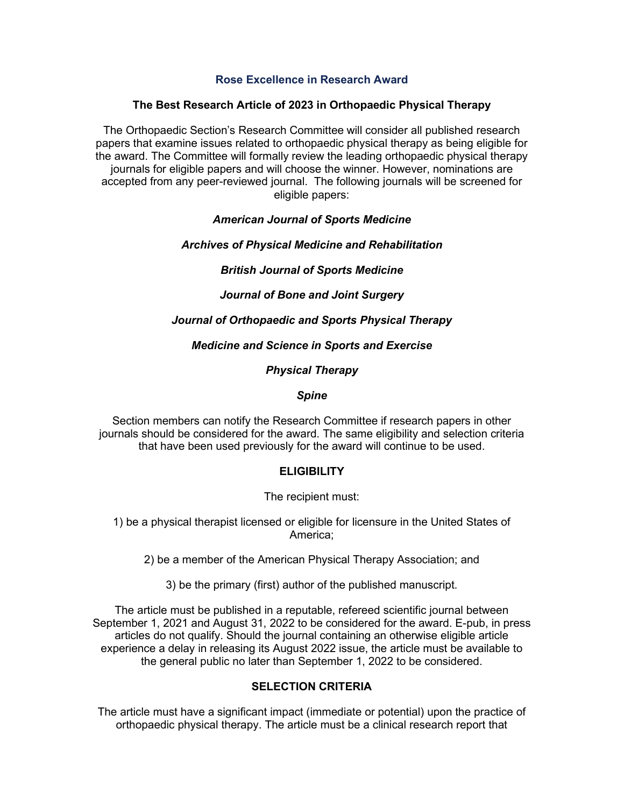#### **Rose Excellence in Research Award**

## **The Best Research Article of 2023 in Orthopaedic Physical Therapy**

The Orthopaedic Section's Research Committee will consider all published research papers that examine issues related to orthopaedic physical therapy as being eligible for the award. The Committee will formally review the leading orthopaedic physical therapy journals for eligible papers and will choose the winner. However, nominations are accepted from any peer-reviewed journal. The following journals will be screened for eligible papers:

#### *American Journal of Sports Medicine*

#### *Archives of Physical Medicine and Rehabilitation*

# *British Journal of Sports Medicine*

*Journal of Bone and Joint Surgery*

# *Journal of Orthopaedic and Sports Physical Therapy*

#### *Medicine and Science in Sports and Exercise*

*Physical Therapy*

#### *Spine*

Section members can notify the Research Committee if research papers in other journals should be considered for the award. The same eligibility and selection criteria that have been used previously for the award will continue to be used.

# **ELIGIBILITY**

The recipient must:

1) be a physical therapist licensed or eligible for licensure in the United States of America;

2) be a member of the American Physical Therapy Association; and

3) be the primary (first) author of the published manuscript.

The article must be published in a reputable, refereed scientific journal between September 1, 2021 and August 31, 2022 to be considered for the award. E-pub, in press articles do not qualify. Should the journal containing an otherwise eligible article experience a delay in releasing its August 2022 issue, the article must be available to the general public no later than September 1, 2022 to be considered.

# **SELECTION CRITERIA**

The article must have a significant impact (immediate or potential) upon the practice of orthopaedic physical therapy. The article must be a clinical research report that